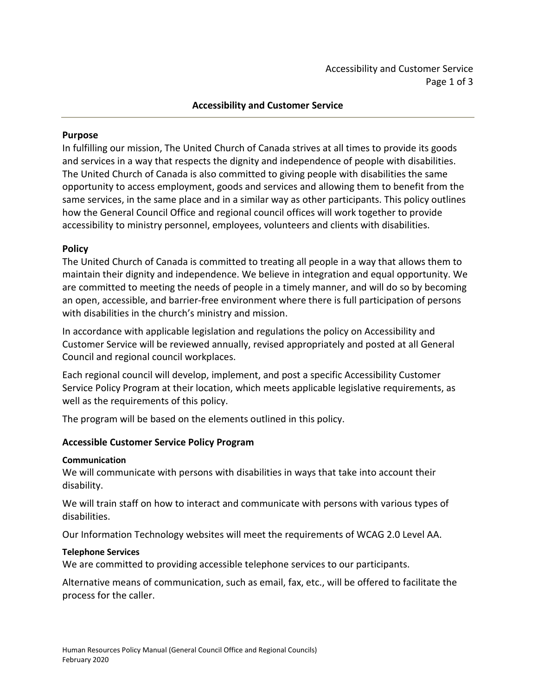## **Accessibility and Customer Service**

#### **Purpose**

In fulfilling our mission, The United Church of Canada strives at all times to provide its goods and services in a way that respects the dignity and independence of people with disabilities. The United Church of Canada is also committed to giving people with disabilities the same opportunity to access employment, goods and services and allowing them to benefit from the same services, in the same place and in a similar way as other participants. This policy outlines how the General Council Office and regional council offices will work together to provide accessibility to ministry personnel, employees, volunteers and clients with disabilities.

## **Policy**

The United Church of Canada is committed to treating all people in a way that allows them to maintain their dignity and independence. We believe in integration and equal opportunity. We are committed to meeting the needs of people in a timely manner, and will do so by becoming an open, accessible, and barrier-free environment where there is full participation of persons with disabilities in the church's ministry and mission.

In accordance with applicable legislation and regulations the policy on Accessibility and Customer Service will be reviewed annually, revised appropriately and posted at all General Council and regional council workplaces.

Each regional council will develop, implement, and post a specific Accessibility Customer Service Policy Program at their location, which meets applicable legislative requirements, as well as the requirements of this policy.

The program will be based on the elements outlined in this policy.

## **Accessible Customer Service Policy Program**

#### **Communication**

We will communicate with persons with disabilities in ways that take into account their disability.

We will train staff on how to interact and communicate with persons with various types of disabilities.

Our Information Technology websites will meet the requirements of WCAG 2.0 Level AA.

#### **Telephone Services**

We are committed to providing accessible telephone services to our participants.

Alternative means of communication, such as email, fax, etc., will be offered to facilitate the process for the caller.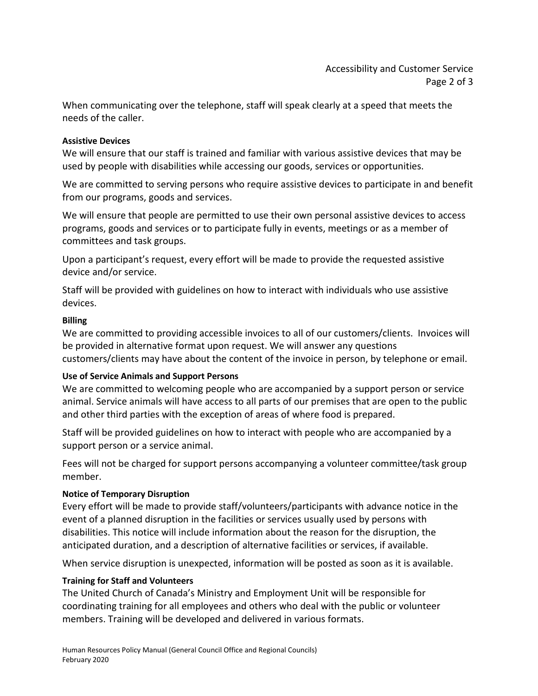When communicating over the telephone, staff will speak clearly at a speed that meets the needs of the caller.

### **Assistive Devices**

We will ensure that our staff is trained and familiar with various assistive devices that may be used by people with disabilities while accessing our goods, services or opportunities.

We are committed to serving persons who require assistive devices to participate in and benefit from our programs, goods and services.

We will ensure that people are permitted to use their own personal assistive devices to access programs, goods and services or to participate fully in events, meetings or as a member of committees and task groups.

Upon a participant's request, every effort will be made to provide the requested assistive device and/or service.

Staff will be provided with guidelines on how to interact with individuals who use assistive devices.

#### **Billing**

We are committed to providing accessible invoices to all of our customers/clients. Invoices will be provided in alternative format upon request. We will answer any questions customers/clients may have about the content of the invoice in person, by telephone or email.

## **Use of Service Animals and Support Persons**

We are committed to welcoming people who are accompanied by a support person or service animal. Service animals will have access to all parts of our premises that are open to the public and other third parties with the exception of areas of where food is prepared.

Staff will be provided guidelines on how to interact with people who are accompanied by a support person or a service animal.

Fees will not be charged for support persons accompanying a volunteer committee/task group member.

## **Notice of Temporary Disruption**

Every effort will be made to provide staff/volunteers/participants with advance notice in the event of a planned disruption in the facilities or services usually used by persons with disabilities. This notice will include information about the reason for the disruption, the anticipated duration, and a description of alternative facilities or services, if available.

When service disruption is unexpected, information will be posted as soon as it is available.

## **Training for Staff and Volunteers**

The United Church of Canada's Ministry and Employment Unit will be responsible for coordinating training for all employees and others who deal with the public or volunteer members. Training will be developed and delivered in various formats.